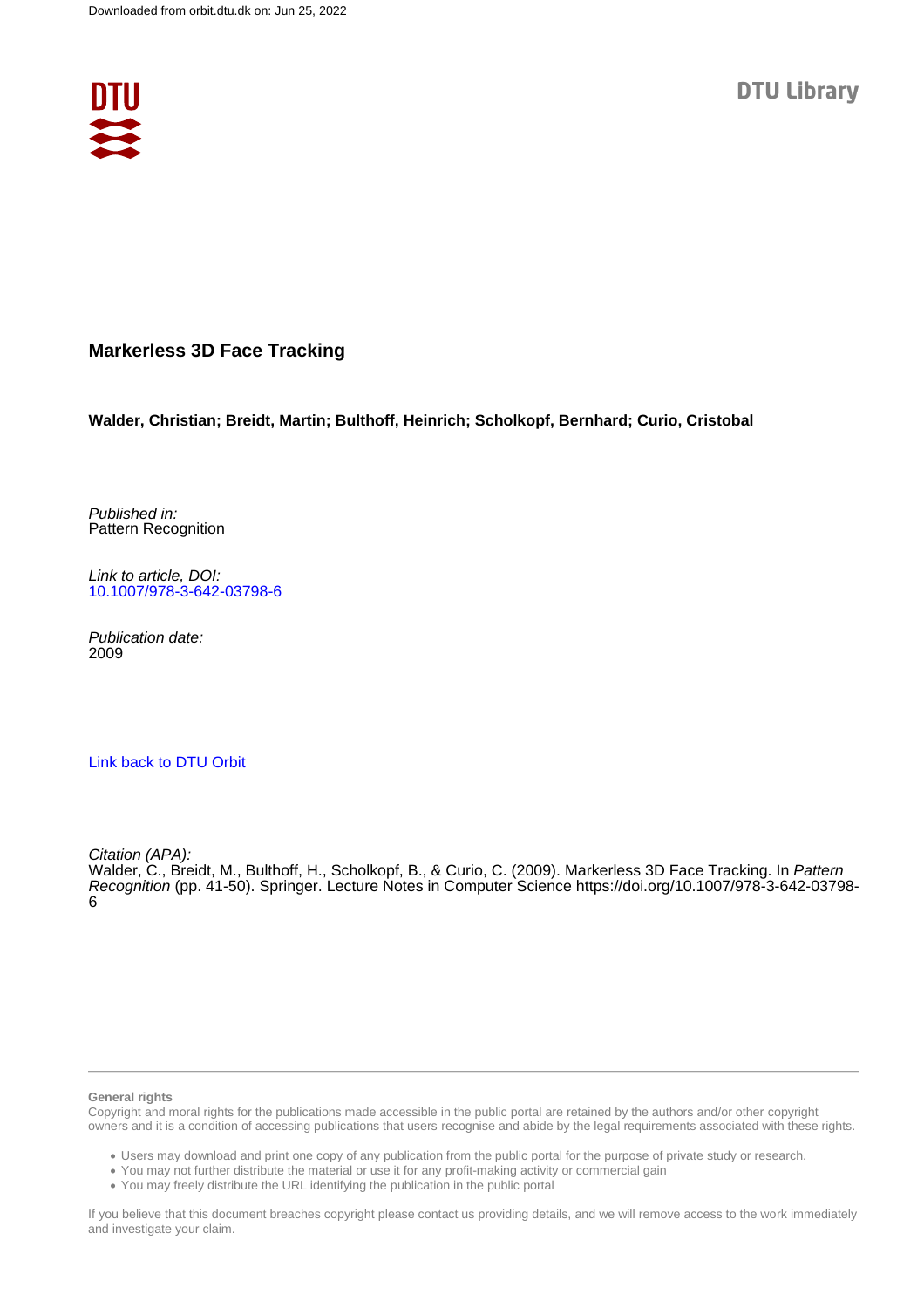

## **Markerless 3D Face Tracking**

**Walder, Christian; Breidt, Martin; Bulthoff, Heinrich; Scholkopf, Bernhard; Curio, Cristobal**

Published in: Pattern Recognition

Link to article, DOI: [10.1007/978-3-642-03798-6](https://doi.org/10.1007/978-3-642-03798-6)

Publication date: 2009

## [Link back to DTU Orbit](https://orbit.dtu.dk/en/publications/32425789-0efa-446f-ae37-9435bb773933)

Citation (APA):

Walder, C., Breidt, M., Bulthoff, H., Scholkopf, B., & Curio, C. (2009). Markerless 3D Face Tracking. In Pattern Recognition (pp. 41-50). Springer. Lecture Notes in Computer Science [https://doi.org/10.1007/978-3-642-03798-](https://doi.org/10.1007/978-3-642-03798-6) [6](https://doi.org/10.1007/978-3-642-03798-6)

#### **General rights**

Copyright and moral rights for the publications made accessible in the public portal are retained by the authors and/or other copyright owners and it is a condition of accessing publications that users recognise and abide by the legal requirements associated with these rights.

Users may download and print one copy of any publication from the public portal for the purpose of private study or research.

- You may not further distribute the material or use it for any profit-making activity or commercial gain
- You may freely distribute the URL identifying the publication in the public portal

If you believe that this document breaches copyright please contact us providing details, and we will remove access to the work immediately and investigate your claim.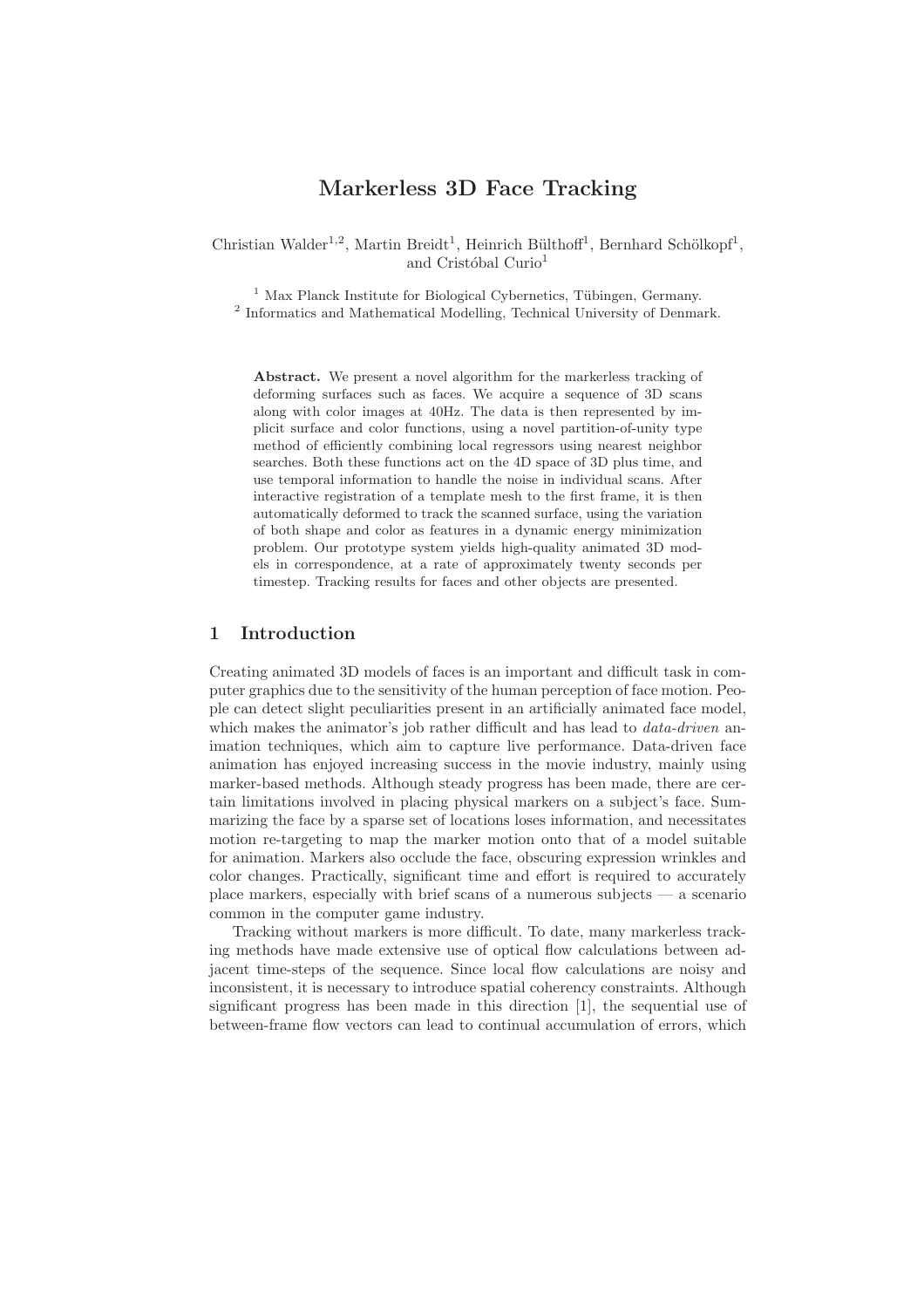# Markerless 3D Face Tracking

Christian Walder<sup>1,2</sup>, Martin Breidt<sup>1</sup>, Heinrich Bülthoff<sup>1</sup>, Bernhard Schölkopf<sup>1</sup>, and Cristóbal Curio<sup>1</sup>

 $1$  Max Planck Institute for Biological Cybernetics, Tübingen, Germany. 2 Informatics and Mathematical Modelling, Technical University of Denmark.

Abstract. We present a novel algorithm for the markerless tracking of deforming surfaces such as faces. We acquire a sequence of 3D scans along with color images at 40Hz. The data is then represented by implicit surface and color functions, using a novel partition-of-unity type method of efficiently combining local regressors using nearest neighbor searches. Both these functions act on the 4D space of 3D plus time, and use temporal information to handle the noise in individual scans. After interactive registration of a template mesh to the first frame, it is then automatically deformed to track the scanned surface, using the variation of both shape and color as features in a dynamic energy minimization problem. Our prototype system yields high-quality animated 3D models in correspondence, at a rate of approximately twenty seconds per timestep. Tracking results for faces and other objects are presented.

### 1 Introduction

Creating animated 3D models of faces is an important and difficult task in computer graphics due to the sensitivity of the human perception of face motion. People can detect slight peculiarities present in an artificially animated face model, which makes the animator's job rather difficult and has lead to *data-driven* animation techniques, which aim to capture live performance. Data-driven face animation has enjoyed increasing success in the movie industry, mainly using marker-based methods. Although steady progress has been made, there are certain limitations involved in placing physical markers on a subject's face. Summarizing the face by a sparse set of locations loses information, and necessitates motion re-targeting to map the marker motion onto that of a model suitable for animation. Markers also occlude the face, obscuring expression wrinkles and color changes. Practically, significant time and effort is required to accurately place markers, especially with brief scans of a numerous subjects — a scenario common in the computer game industry.

Tracking without markers is more difficult. To date, many markerless tracking methods have made extensive use of optical flow calculations between adjacent time-steps of the sequence. Since local flow calculations are noisy and inconsistent, it is necessary to introduce spatial coherency constraints. Although significant progress has been made in this direction [1], the sequential use of between-frame flow vectors can lead to continual accumulation of errors, which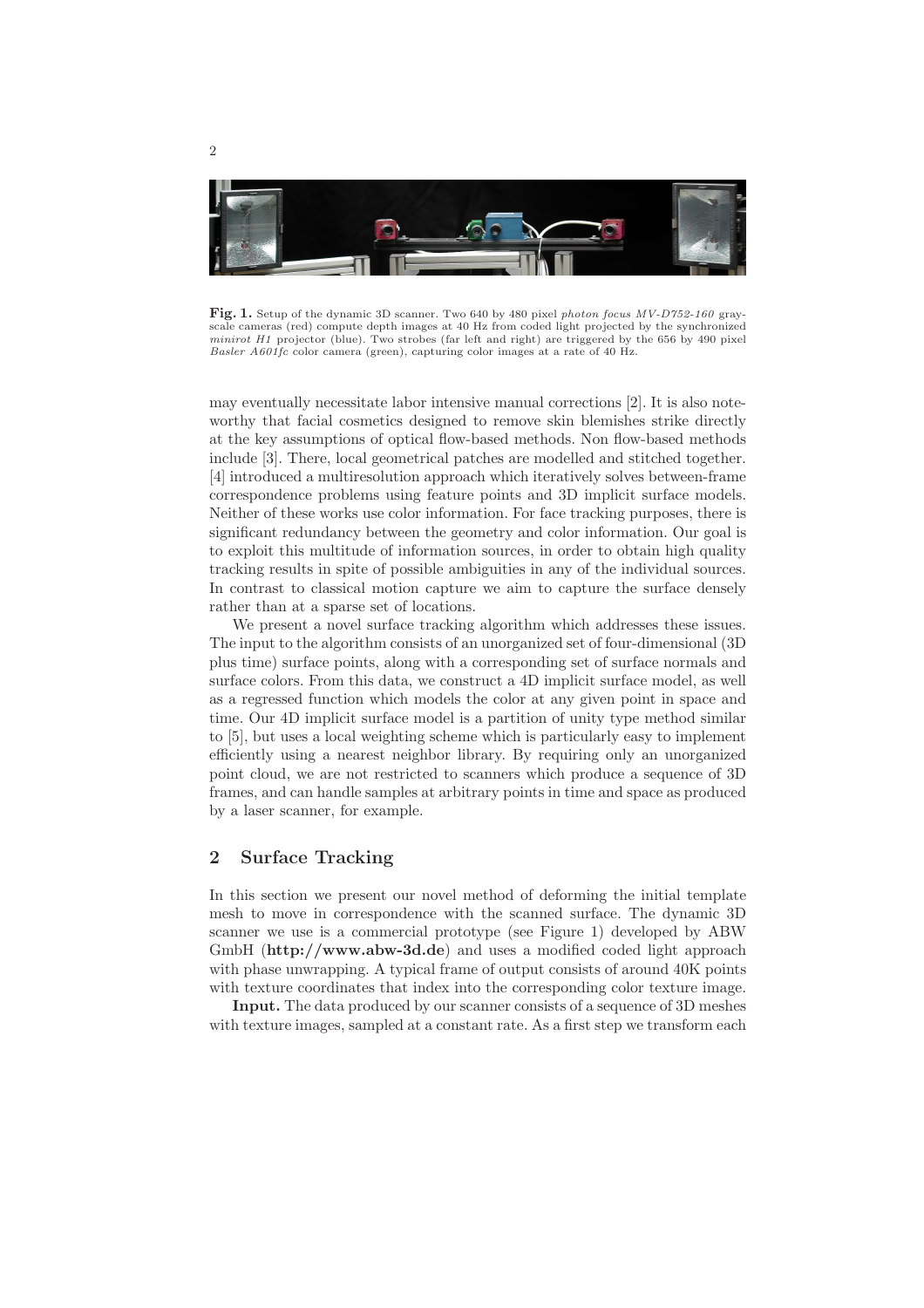

Fig. 1. Setup of the dynamic 3D scanner. Two 640 by 480 pixel photon focus MV-D752-160 grayscale cameras (red) compute depth images at 40 Hz from coded light projected by the synchronized minirot  $H1$  projector (blue). Two strobes (far left and right) are triggered by the 656 by 490 pixel Basler A601fc color camera (green), capturing color images at a rate of 40 Hz.

may eventually necessitate labor intensive manual corrections [2]. It is also noteworthy that facial cosmetics designed to remove skin blemishes strike directly at the key assumptions of optical flow-based methods. Non flow-based methods include [3]. There, local geometrical patches are modelled and stitched together. [4] introduced a multiresolution approach which iteratively solves between-frame correspondence problems using feature points and 3D implicit surface models. Neither of these works use color information. For face tracking purposes, there is significant redundancy between the geometry and color information. Our goal is to exploit this multitude of information sources, in order to obtain high quality tracking results in spite of possible ambiguities in any of the individual sources. In contrast to classical motion capture we aim to capture the surface densely rather than at a sparse set of locations.

We present a novel surface tracking algorithm which addresses these issues. The input to the algorithm consists of an unorganized set of four-dimensional (3D plus time) surface points, along with a corresponding set of surface normals and surface colors. From this data, we construct a 4D implicit surface model, as well as a regressed function which models the color at any given point in space and time. Our 4D implicit surface model is a partition of unity type method similar to [5], but uses a local weighting scheme which is particularly easy to implement efficiently using a nearest neighbor library. By requiring only an unorganized point cloud, we are not restricted to scanners which produce a sequence of 3D frames, and can handle samples at arbitrary points in time and space as produced by a laser scanner, for example.

## 2 Surface Tracking

In this section we present our novel method of deforming the initial template mesh to move in correspondence with the scanned surface. The dynamic 3D scanner we use is a commercial prototype (see Figure 1) developed by ABW GmbH (http://www.abw-3d.de) and uses a modified coded light approach with phase unwrapping. A typical frame of output consists of around  $40K$  points with texture coordinates that index into the corresponding color texture image.

Input. The data produced by our scanner consists of a sequence of 3D meshes with texture images, sampled at a constant rate. As a first step we transform each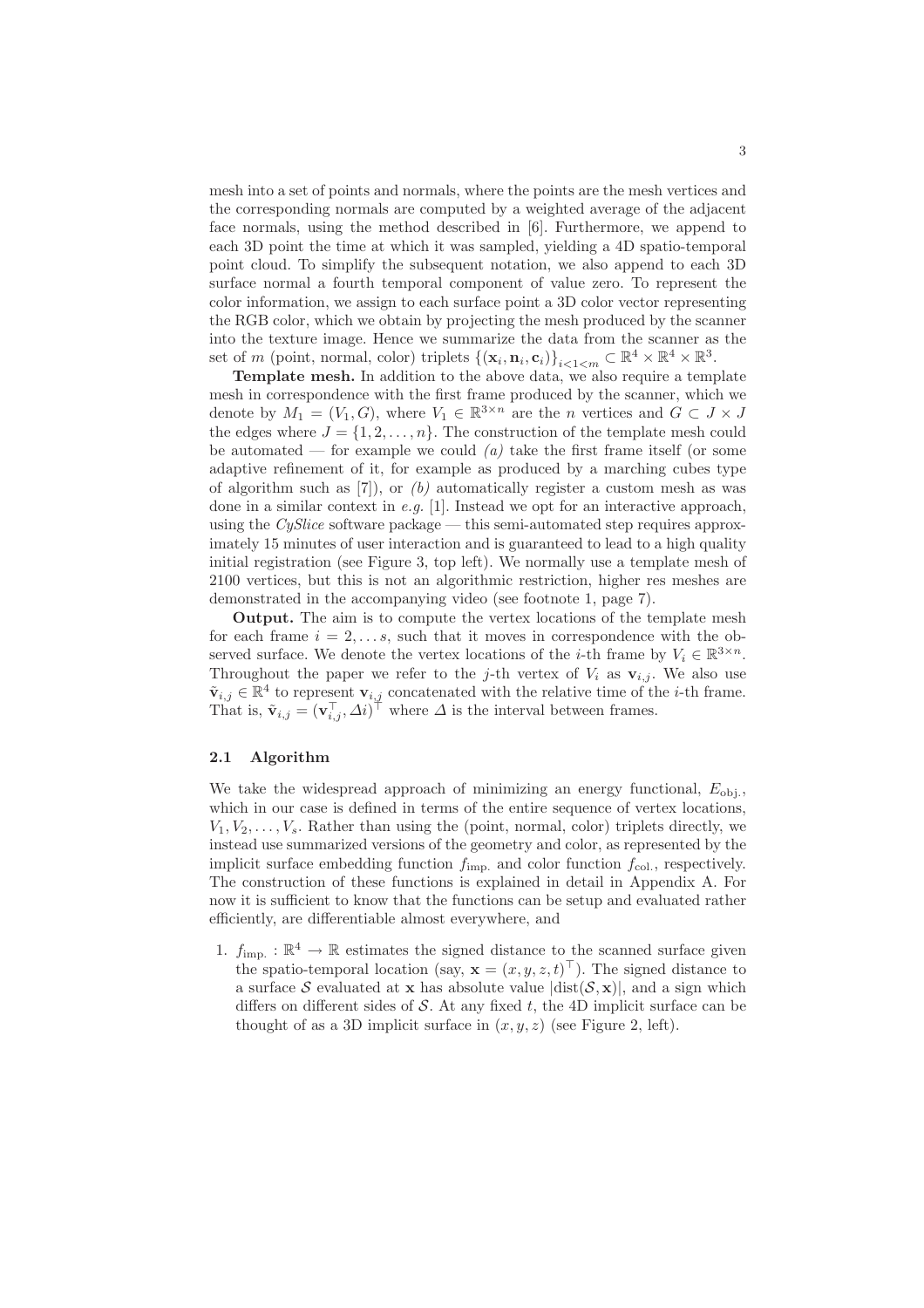mesh into a set of points and normals, where the points are the mesh vertices and the corresponding normals are computed by a weighted average of the adjacent face normals, using the method described in [6]. Furthermore, we append to each 3D point the time at which it was sampled, yielding a 4D spatio-temporal point cloud. To simplify the subsequent notation, we also append to each 3D surface normal a fourth temporal component of value zero. To represent the color information, we assign to each surface point a 3D color vector representing the RGB color, which we obtain by projecting the mesh produced by the scanner into the texture image. Hence we summarize the data from the scanner as the set of m (point, normal, color) triplets  $\{(\mathbf{x}_i, \mathbf{n}_i, \mathbf{c}_i)\}_{i<1.$ 

Template mesh. In addition to the above data, we also require a template mesh in correspondence with the first frame produced by the scanner, which we denote by  $M_1 = (V_1, G)$ , where  $V_1 \in \mathbb{R}^{3 \times n}$  are the *n* vertices and  $G \subset J \times J$ the edges where  $J = \{1, 2, ..., n\}$ . The construction of the template mesh could be automated — for example we could  $(a)$  take the first frame itself (or some adaptive refinement of it, for example as produced by a marching cubes type of algorithm such as  $[7]$ , or  $(b)$  automatically register a custom mesh as was done in a similar context in e.g. [1]. Instead we opt for an interactive approach, using the  $\emph{CySlice}$  software package — this semi-automated step requires approximately 15 minutes of user interaction and is guaranteed to lead to a high quality initial registration (see Figure 3, top left). We normally use a template mesh of 2100 vertices, but this is not an algorithmic restriction, higher res meshes are demonstrated in the accompanying video (see footnote 1, page 7).

Output. The aim is to compute the vertex locations of the template mesh for each frame  $i = 2, \ldots s$ , such that it moves in correspondence with the observed surface. We denote the vertex locations of the *i*-th frame by  $V_i \in \mathbb{R}^{3 \times n}$ . Throughout the paper we refer to the j-th vertex of  $V_i$  as  $\mathbf{v}_{i,j}$ . We also use  $\tilde{\mathbf{v}}_{i,j} \in \mathbb{R}^4$  to represent  $\mathbf{v}_{i,j}$  concatenated with the relative time of the *i*-th frame. That is,  $\tilde{\mathbf{v}}_{i,j} = (\mathbf{v}_{i,j}^{\top}, \Delta i)^{\top}$  where  $\Delta$  is the interval between frames.

#### 2.1 Algorithm

We take the widespread approach of minimizing an energy functional,  $E_{obj}$ , which in our case is defined in terms of the entire sequence of vertex locations,  $V_1, V_2, \ldots, V_s$ . Rather than using the (point, normal, color) triplets directly, we instead use summarized versions of the geometry and color, as represented by the implicit surface embedding function  $f_{\text{imp.}}$  and color function  $f_{\text{col.}}$ , respectively. The construction of these functions is explained in detail in Appendix A. For now it is sufficient to know that the functions can be setup and evaluated rather efficiently, are differentiable almost everywhere, and

1.  $f_{\text{imp.}} : \mathbb{R}^4 \to \mathbb{R}$  estimates the signed distance to the scanned surface given the spatio-temporal location (say,  $\mathbf{x} = (x, y, z, t)^\top$ ). The signed distance to a surface S evaluated at **x** has absolute value  $|dist(\mathcal{S}, \mathbf{x})|$ , and a sign which differs on different sides of S. At any fixed t, the 4D implicit surface can be thought of as a 3D implicit surface in  $(x, y, z)$  (see Figure 2, left).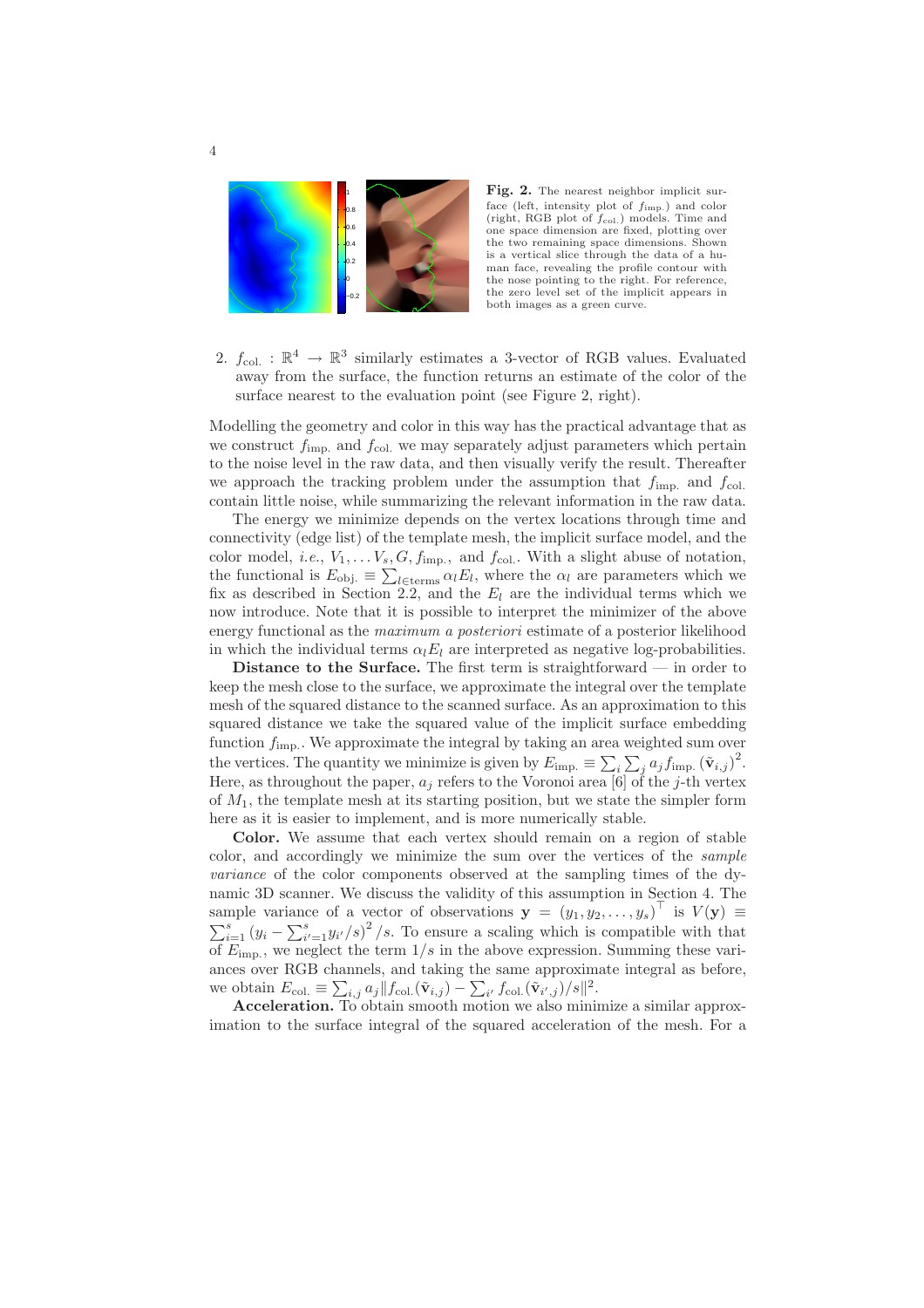

Fig. 2. The nearest neighbor implicit surface (left, intensity plot of  $f_{\rm imp.}$ ) and color (right, RGB plot of  $f_{\rm col.}$ ) models. Time and one space dimension are fixed, plotting over the two remaining space dimensions. Shown is a vertical slice through the data of a human face, revealing the profile contour with the nose pointing to the right. For reference, the zero level set of the implicit appears in both images as a green curve.

2.  $f_{\text{col.}}$ :  $\mathbb{R}^4 \to \mathbb{R}^3$  similarly estimates a 3-vector of RGB values. Evaluated away from the surface, the function returns an estimate of the color of the surface nearest to the evaluation point (see Figure 2, right).

Modelling the geometry and color in this way has the practical advantage that as we construct  $f_{\text{imp.}}$  and  $f_{\text{col.}}$  we may separately adjust parameters which pertain to the noise level in the raw data, and then visually verify the result. Thereafter we approach the tracking problem under the assumption that  $f_{\text{imp.}}$  and  $f_{\text{col.}}$ contain little noise, while summarizing the relevant information in the raw data.

The energy we minimize depends on the vertex locations through time and connectivity (edge list) of the template mesh, the implicit surface model, and the color model, *i.e.*,  $V_1, \ldots V_s, G, f_{\text{imp.}}$ , and  $f_{\text{col.}}$ . With a slight abuse of notation, the functional is  $E_{obj.} \equiv \sum_{l \in terms} \alpha_l E_l$ , where the  $\alpha_l$  are parameters which we fix as described in Section 2.2, and the  $E_l$  are the individual terms which we now introduce. Note that it is possible to interpret the minimizer of the above energy functional as the *maximum a posteriori* estimate of a posterior likelihood in which the individual terms  $\alpha_l E_l$  are interpreted as negative log-probabilities.

Distance to the Surface. The first term is straightforward — in order to keep the mesh close to the surface, we approximate the integral over the template mesh of the squared distance to the scanned surface. As an approximation to this squared distance we take the squared value of the implicit surface embedding function  $f_{\text{imp}}$ . We approximate the integral by taking an area weighted sum over the vertices. The quantity we minimize is given by  $E_{\text{imp.}} \equiv \sum_i \sum_j a_j f_{\text{imp.}} (\tilde{\mathbf{v}}_{i,j})^2$ . Here, as throughout the paper,  $a_j$  refers to the Voronoi area [6] of the j-th vertex of  $M_1$ , the template mesh at its starting position, but we state the simpler form here as it is easier to implement, and is more numerically stable.

Color. We assume that each vertex should remain on a region of stable color, and accordingly we minimize the sum over the vertices of the sample variance of the color components observed at the sampling times of the dynamic 3D scanner. We discuss the validity of this assumption in Section 4. The sample variance of a vector of observations  $\mathbf{y} = (y_1, y_2, \dots, y_s)^\top$  is  $V(\mathbf{y}) \equiv$  $\sum_{i=1}^{s} (y_i - \sum_{i'=1}^{s} y_{i'}/s)^2 / s$ . To ensure a scaling which is compatible with that of  $E_{\text{imp.}}$ , we neglect the term  $1/s$  in the above expression. Summing these variances over RGB channels, and taking the same approximate integral as before, we obtain  $E_{\text{col.}} \equiv \sum_{i,j} a_j || f_{\text{col.}}(\tilde{\mathbf{v}}_{i,j}) - \sum_{i'} f_{\text{col.}}(\tilde{\mathbf{v}}_{i',j})/s||^2$ .

Acceleration. To obtain smooth motion we also minimize a similar approximation to the surface integral of the squared acceleration of the mesh. For a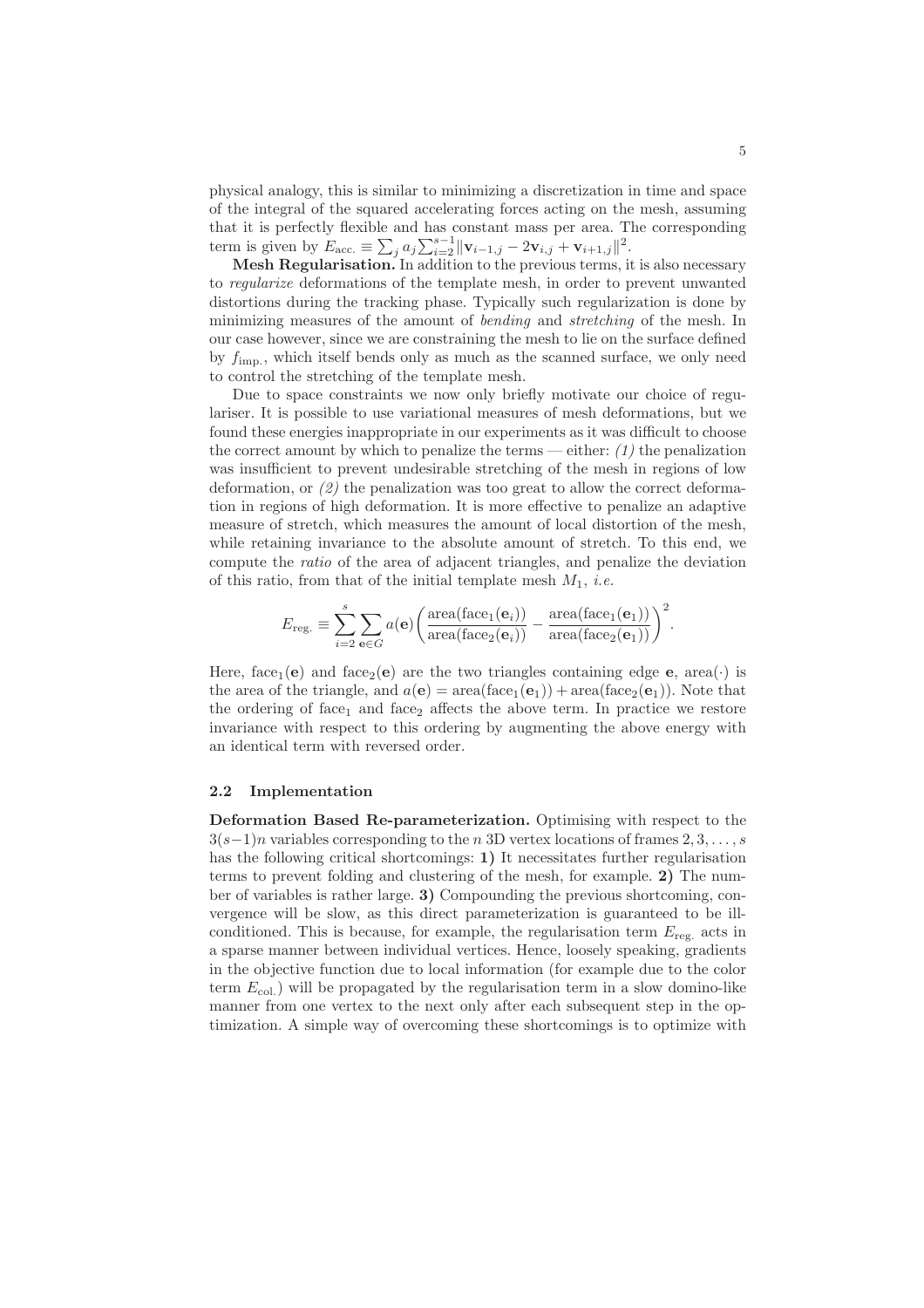physical analogy, this is similar to minimizing a discretization in time and space of the integral of the squared accelerating forces acting on the mesh, assuming that it is perfectly flexible and has constant mass per area. The corresponding term is given by  $E_{\text{acc.}} \equiv \sum_j a_j \sum_{i=2}^{s-1} ||\mathbf{v}_{i-1,j} - 2\mathbf{v}_{i,j} + \mathbf{v}_{i+1,j}||^2$ .

Mesh Regularisation. In addition to the previous terms, it is also necessary to regularize deformations of the template mesh, in order to prevent unwanted distortions during the tracking phase. Typically such regularization is done by minimizing measures of the amount of *bending* and *stretching* of the mesh. In our case however, since we are constraining the mesh to lie on the surface defined by  $f_{\text{imp.}}$ , which itself bends only as much as the scanned surface, we only need to control the stretching of the template mesh.

Due to space constraints we now only briefly motivate our choice of regulariser. It is possible to use variational measures of mesh deformations, but we found these energies inappropriate in our experiments as it was difficult to choose the correct amount by which to penalize the terms — either:  $(1)$  the penalization was insufficient to prevent undesirable stretching of the mesh in regions of low deformation, or  $(2)$  the penalization was too great to allow the correct deformation in regions of high deformation. It is more effective to penalize an adaptive measure of stretch, which measures the amount of local distortion of the mesh, while retaining invariance to the absolute amount of stretch. To this end, we compute the ratio of the area of adjacent triangles, and penalize the deviation of this ratio, from that of the initial template mesh  $M_1$ , *i.e.* 

$$
E_{\text{reg.}} \equiv \sum_{i=2}^{s} \sum_{\mathbf{e} \in G} a(\mathbf{e}) \bigg( \frac{\text{area}(\text{face}_1(\mathbf{e}_i))}{\text{area}(\text{face}_2(\mathbf{e}_i))} - \frac{\text{area}(\text{face}_1(\mathbf{e}_1))}{\text{area}(\text{face}_2(\mathbf{e}_1))} \bigg)^2.
$$

Here, face<sub>1</sub>(e) and face<sub>2</sub>(e) are the two triangles containing edge e, area(·) is the area of the triangle, and  $a(e) = \text{area}(\text{face}_1(e_1)) + \text{area}(\text{face}_2(e_1))$ . Note that the ordering of face<sub>1</sub> and face<sub>2</sub> affects the above term. In practice we restore invariance with respect to this ordering by augmenting the above energy with an identical term with reversed order.

#### 2.2 Implementation

Deformation Based Re-parameterization. Optimising with respect to the  $3(s-1)n$  variables corresponding to the n 3D vertex locations of frames 2, 3, ..., s has the following critical shortcomings: 1) It necessitates further regularisation terms to prevent folding and clustering of the mesh, for example. 2) The number of variables is rather large. 3) Compounding the previous shortcoming, convergence will be slow, as this direct parameterization is guaranteed to be illconditioned. This is because, for example, the regularisation term  $E_{\text{reg}}$  acts in a sparse manner between individual vertices. Hence, loosely speaking, gradients in the objective function due to local information (for example due to the color term  $E_{\text{col.}}$ ) will be propagated by the regularisation term in a slow domino-like manner from one vertex to the next only after each subsequent step in the optimization. A simple way of overcoming these shortcomings is to optimize with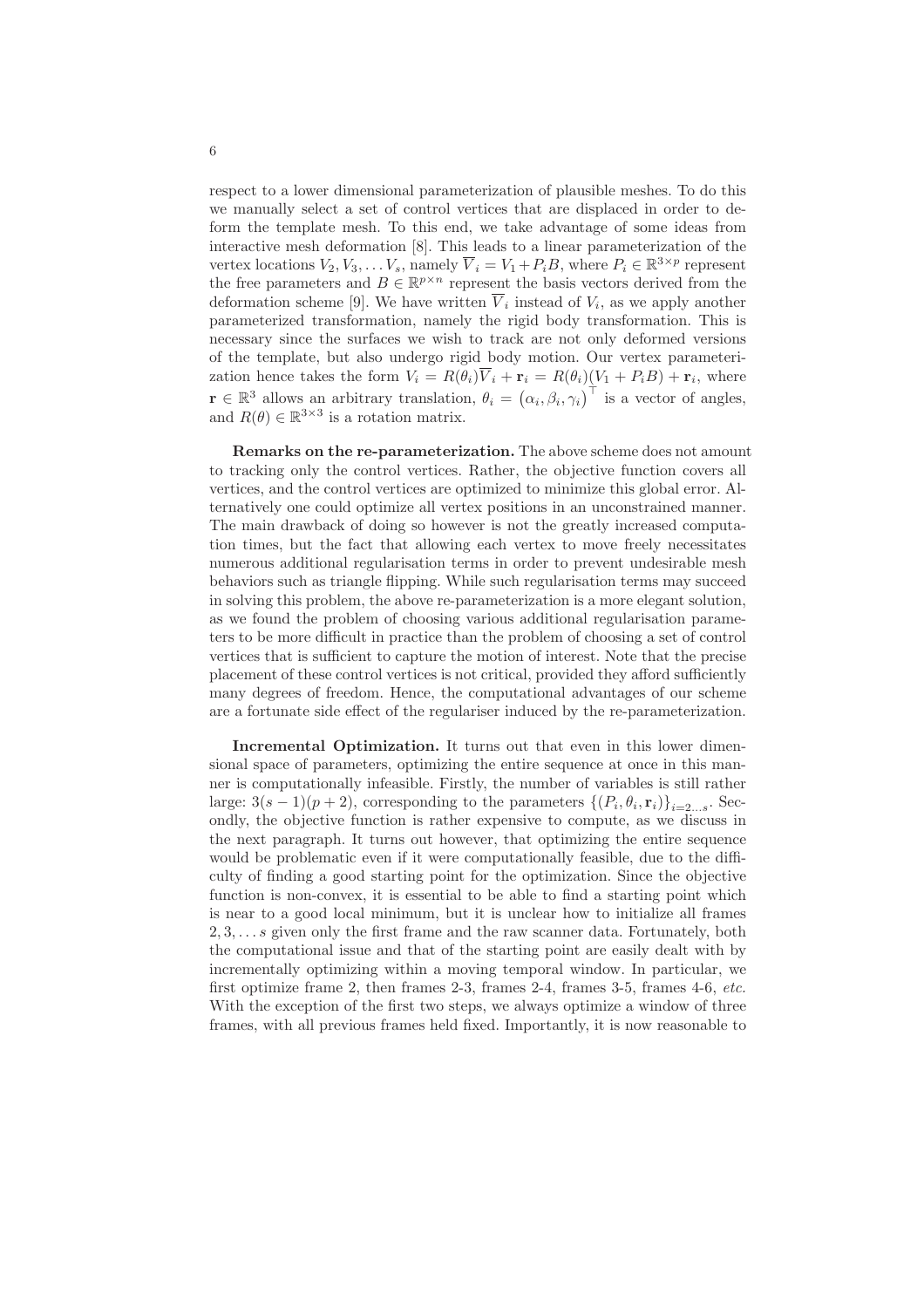respect to a lower dimensional parameterization of plausible meshes. To do this we manually select a set of control vertices that are displaced in order to deform the template mesh. To this end, we take advantage of some ideas from interactive mesh deformation [8]. This leads to a linear parameterization of the vertex locations  $V_2, V_3, \ldots V_s$ , namely  $\overline{V}_i = V_1 + P_i B$ , where  $P_i \in \mathbb{R}^{3 \times p}$  represent the free parameters and  $B \in \mathbb{R}^{p \times n}$  represent the basis vectors derived from the deformation scheme [9]. We have written  $V_i$  instead of  $V_i$ , as we apply another parameterized transformation, namely the rigid body transformation. This is necessary since the surfaces we wish to track are not only deformed versions of the template, but also undergo rigid body motion. Our vertex parameterization hence takes the form  $V_i = R(\theta_i)V_i + \mathbf{r}_i = R(\theta_i)(V_1 + P_iB) + \mathbf{r}_i$ , where  $\mathbf{r} \in \mathbb{R}^3$  allows an arbitrary translation,  $\theta_i = (\alpha_i, \beta_i, \gamma_i)^\top$  is a vector of angles, and  $R(\theta) \in \mathbb{R}^{3 \times 3}$  is a rotation matrix.

Remarks on the re-parameterization. The above scheme does not amount to tracking only the control vertices. Rather, the objective function covers all vertices, and the control vertices are optimized to minimize this global error. Alternatively one could optimize all vertex positions in an unconstrained manner. The main drawback of doing so however is not the greatly increased computation times, but the fact that allowing each vertex to move freely necessitates numerous additional regularisation terms in order to prevent undesirable mesh behaviors such as triangle flipping. While such regularisation terms may succeed in solving this problem, the above re-parameterization is a more elegant solution, as we found the problem of choosing various additional regularisation parameters to be more difficult in practice than the problem of choosing a set of control vertices that is sufficient to capture the motion of interest. Note that the precise placement of these control vertices is not critical, provided they afford sufficiently many degrees of freedom. Hence, the computational advantages of our scheme are a fortunate side effect of the regulariser induced by the re-parameterization.

Incremental Optimization. It turns out that even in this lower dimensional space of parameters, optimizing the entire sequence at once in this manner is computationally infeasible. Firstly, the number of variables is still rather large:  $3(s-1)(p+2)$ , corresponding to the parameters  $\{(P_i, \theta_i, \mathbf{r}_i)\}_{i=2...s}$ . Secondly, the objective function is rather expensive to compute, as we discuss in the next paragraph. It turns out however, that optimizing the entire sequence would be problematic even if it were computationally feasible, due to the difficulty of finding a good starting point for the optimization. Since the objective function is non-convex, it is essential to be able to find a starting point which is near to a good local minimum, but it is unclear how to initialize all frames  $2, 3, \ldots$  s given only the first frame and the raw scanner data. Fortunately, both the computational issue and that of the starting point are easily dealt with by incrementally optimizing within a moving temporal window. In particular, we first optimize frame 2, then frames 2-3, frames 2-4, frames 3-5, frames 4-6, etc. With the exception of the first two steps, we always optimize a window of three frames, with all previous frames held fixed. Importantly, it is now reasonable to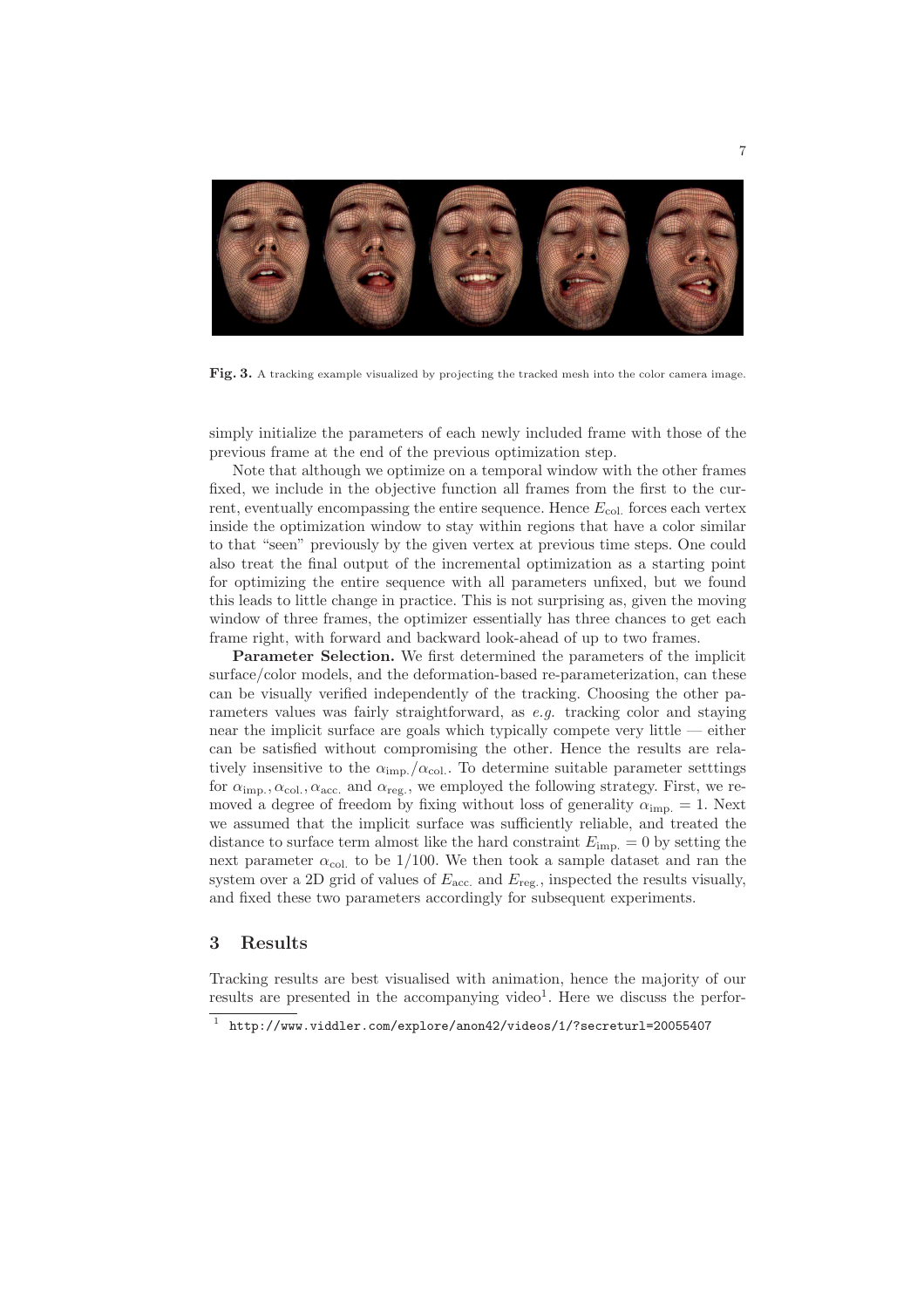

Fig. 3. A tracking example visualized by projecting the tracked mesh into the color camera image.

simply initialize the parameters of each newly included frame with those of the previous frame at the end of the previous optimization step.

Note that although we optimize on a temporal window with the other frames fixed, we include in the objective function all frames from the first to the current, eventually encompassing the entire sequence. Hence  $E_{\text{col}}$  forces each vertex inside the optimization window to stay within regions that have a color similar to that "seen" previously by the given vertex at previous time steps. One could also treat the final output of the incremental optimization as a starting point for optimizing the entire sequence with all parameters unfixed, but we found this leads to little change in practice. This is not surprising as, given the moving window of three frames, the optimizer essentially has three chances to get each frame right, with forward and backward look-ahead of up to two frames.

Parameter Selection. We first determined the parameters of the implicit surface/color models, and the deformation-based re-parameterization, can these can be visually verified independently of the tracking. Choosing the other parameters values was fairly straightforward, as e.g. tracking color and staying near the implicit surface are goals which typically compete very little — either can be satisfied without compromising the other. Hence the results are relatively insensitive to the  $\alpha_{\rm imp.}/\alpha_{\rm col.}$ . To determine suitable parameter setttings for  $\alpha_{\rm imp.}, \alpha_{\rm col.}, \alpha_{\rm acc.}$  and  $\alpha_{\rm reg.}$ , we employed the following strategy. First, we removed a degree of freedom by fixing without loss of generality  $\alpha_{\text{imp}} = 1$ . Next we assumed that the implicit surface was sufficiently reliable, and treated the distance to surface term almost like the hard constraint  $E_{\text{imp.}} = 0$  by setting the next parameter  $\alpha_{\text{col}}$  to be 1/100. We then took a sample dataset and ran the system over a 2D grid of values of  $E_{\text{acc}}$  and  $E_{\text{reg}}$ , inspected the results visually, and fixed these two parameters accordingly for subsequent experiments.

## 3 Results

Tracking results are best visualised with animation, hence the majority of our results are presented in the accompanying video<sup>1</sup>. Here we discuss the perfor-

<sup>1</sup> http://www.viddler.com/explore/anon42/videos/1/?secreturl=20055407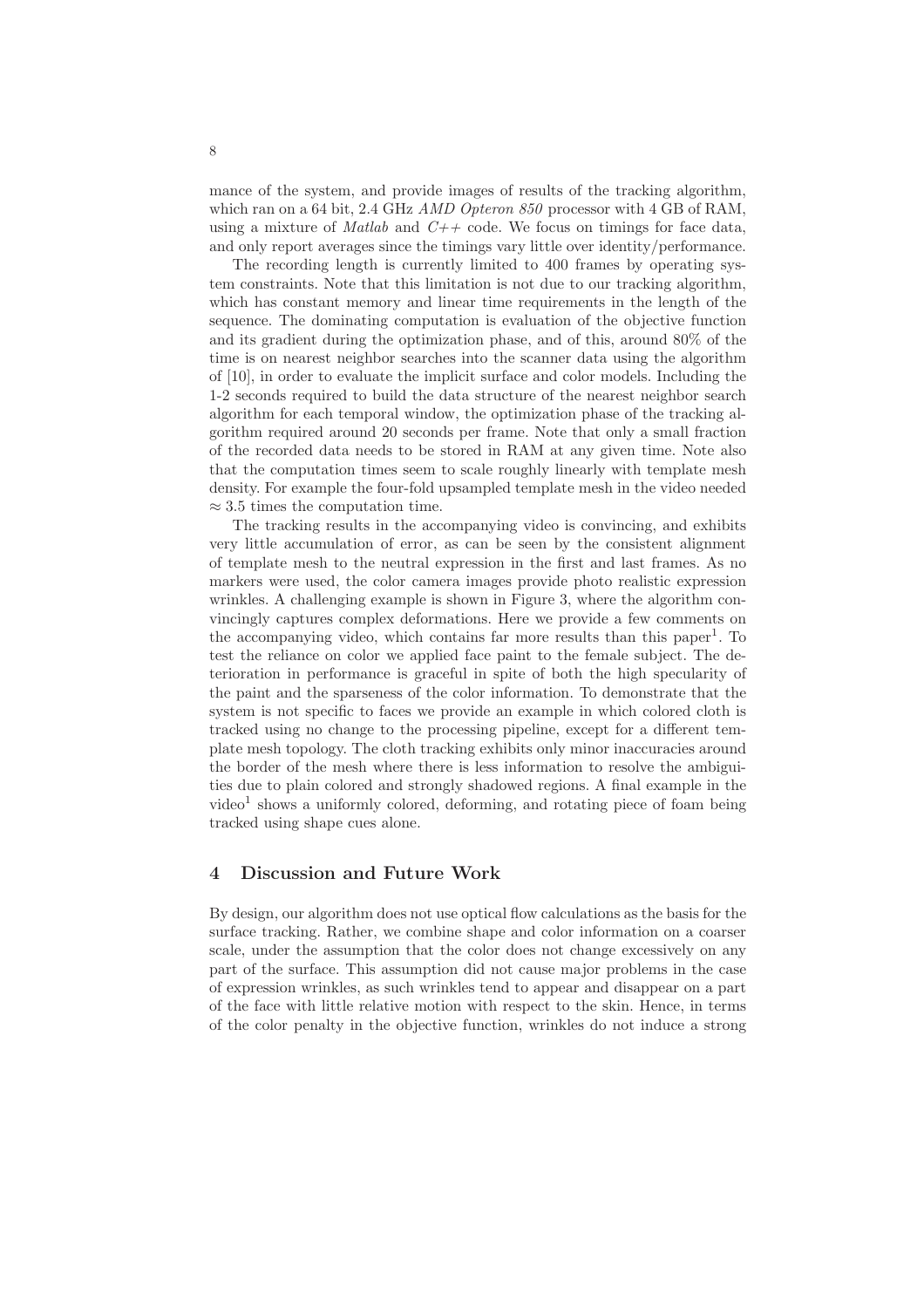mance of the system, and provide images of results of the tracking algorithm, which ran on a 64 bit, 2.4 GHz AMD Opteron 850 processor with 4 GB of RAM, using a mixture of *Matlab* and  $C++$  code. We focus on timings for face data, and only report averages since the timings vary little over identity/performance.

The recording length is currently limited to 400 frames by operating system constraints. Note that this limitation is not due to our tracking algorithm, which has constant memory and linear time requirements in the length of the sequence. The dominating computation is evaluation of the objective function and its gradient during the optimization phase, and of this, around 80% of the time is on nearest neighbor searches into the scanner data using the algorithm of [10], in order to evaluate the implicit surface and color models. Including the 1-2 seconds required to build the data structure of the nearest neighbor search algorithm for each temporal window, the optimization phase of the tracking algorithm required around 20 seconds per frame. Note that only a small fraction of the recorded data needs to be stored in RAM at any given time. Note also that the computation times seem to scale roughly linearly with template mesh density. For example the four-fold upsampled template mesh in the video needed  $\approx$  3.5 times the computation time.

The tracking results in the accompanying video is convincing, and exhibits very little accumulation of error, as can be seen by the consistent alignment of template mesh to the neutral expression in the first and last frames. As no markers were used, the color camera images provide photo realistic expression wrinkles. A challenging example is shown in Figure 3, where the algorithm convincingly captures complex deformations. Here we provide a few comments on the accompanying video, which contains far more results than this paper<sup>1</sup>. To test the reliance on color we applied face paint to the female subject. The deterioration in performance is graceful in spite of both the high specularity of the paint and the sparseness of the color information. To demonstrate that the system is not specific to faces we provide an example in which colored cloth is tracked using no change to the processing pipeline, except for a different template mesh topology. The cloth tracking exhibits only minor inaccuracies around the border of the mesh where there is less information to resolve the ambiguities due to plain colored and strongly shadowed regions. A final example in the video<sup>1</sup> shows a uniformly colored, deforming, and rotating piece of foam being tracked using shape cues alone.

## 4 Discussion and Future Work

By design, our algorithm does not use optical flow calculations as the basis for the surface tracking. Rather, we combine shape and color information on a coarser scale, under the assumption that the color does not change excessively on any part of the surface. This assumption did not cause major problems in the case of expression wrinkles, as such wrinkles tend to appear and disappear on a part of the face with little relative motion with respect to the skin. Hence, in terms of the color penalty in the objective function, wrinkles do not induce a strong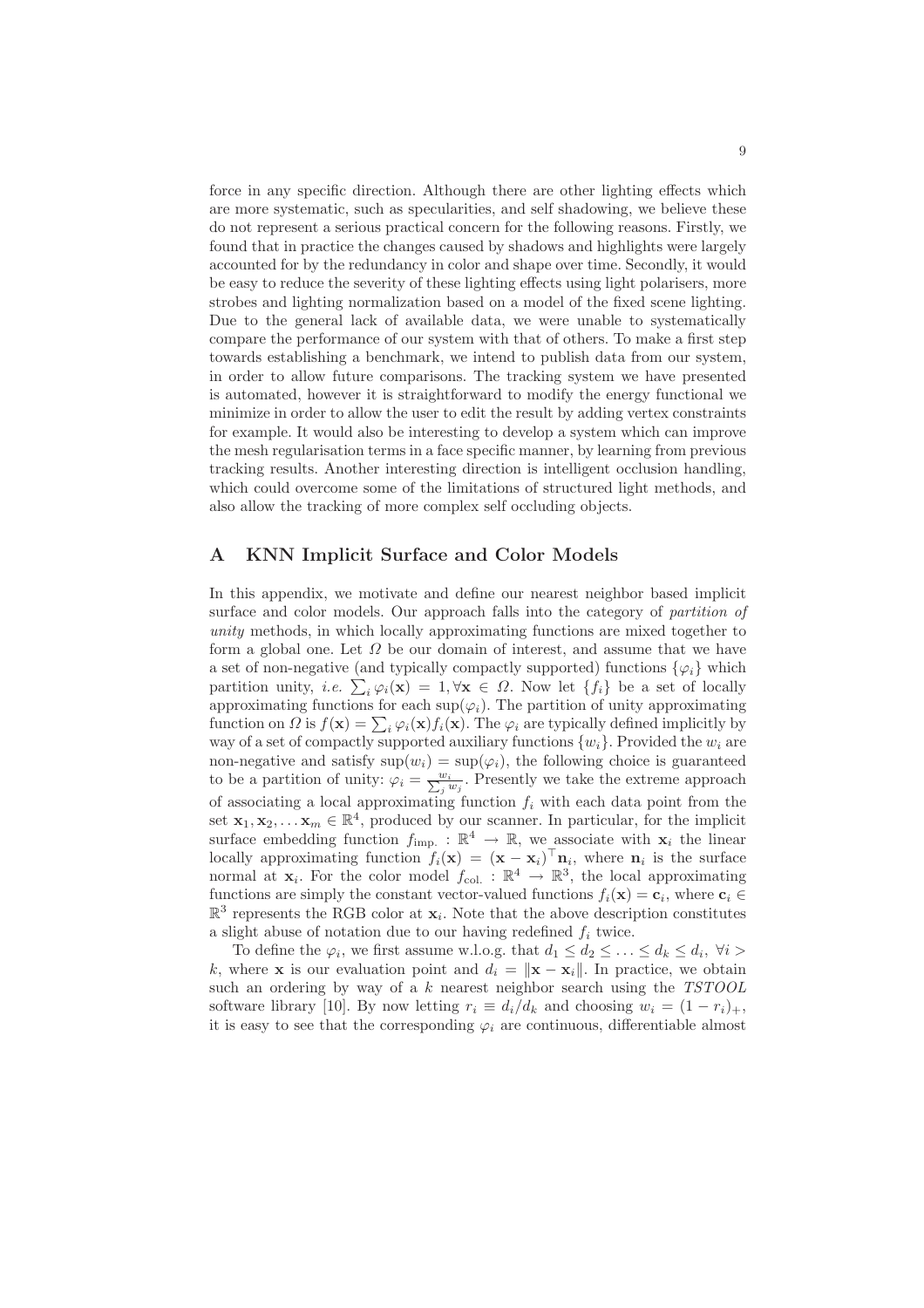force in any specific direction. Although there are other lighting effects which are more systematic, such as specularities, and self shadowing, we believe these do not represent a serious practical concern for the following reasons. Firstly, we found that in practice the changes caused by shadows and highlights were largely accounted for by the redundancy in color and shape over time. Secondly, it would be easy to reduce the severity of these lighting effects using light polarisers, more strobes and lighting normalization based on a model of the fixed scene lighting. Due to the general lack of available data, we were unable to systematically compare the performance of our system with that of others. To make a first step towards establishing a benchmark, we intend to publish data from our system, in order to allow future comparisons. The tracking system we have presented is automated, however it is straightforward to modify the energy functional we minimize in order to allow the user to edit the result by adding vertex constraints for example. It would also be interesting to develop a system which can improve the mesh regularisation terms in a face specific manner, by learning from previous tracking results. Another interesting direction is intelligent occlusion handling, which could overcome some of the limitations of structured light methods, and also allow the tracking of more complex self occluding objects.

## A KNN Implicit Surface and Color Models

In this appendix, we motivate and define our nearest neighbor based implicit surface and color models. Our approach falls into the category of partition of unity methods, in which locally approximating functions are mixed together to form a global one. Let  $\Omega$  be our domain of interest, and assume that we have a set of non-negative (and typically compactly supported) functions  $\{\varphi_i\}$  which partition unity, *i.e.*  $\sum_i \varphi_i(\mathbf{x}) = 1, \forall \mathbf{x} \in \Omega$ . Now let  $\{f_i\}$  be a set of locally approximating functions for each  $\sup(\varphi_i).$  The partition of unity approximating function on  $\Omega$  is  $f(\mathbf{x}) = \sum_i \varphi_i(\mathbf{x}) f_i(\mathbf{x})$ . The  $\varphi_i$  are typically defined implicitly by way of a set of compactly supported auxiliary functions  $\{w_i\}$ . Provided the  $w_i$  are non-negative and satisfy  $\sup(w_i) = \sup(\varphi_i)$ , the following choice is guaranteed to be a partition of unity:  $\varphi_i = \frac{w_i}{\sum_j w_j}$ . Presently we take the extreme approach of associating a local approximating function  $f_i$  with each data point from the set  $\mathbf{x}_1, \mathbf{x}_2, \ldots, \mathbf{x}_m \in \mathbb{R}^4$ , produced by our scanner. In particular, for the implicit surface embedding function  $f_{\text{imp.}}$ :  $\mathbb{R}^4 \to \mathbb{R}$ , we associate with  $\mathbf{x}_i$  the linear locally approximating function  $f_i(\mathbf{x}) = (\mathbf{x} - \mathbf{x}_i)^\top \mathbf{n}_i$ , where  $\mathbf{n}_i$  is the surface normal at  $\mathbf{x}_i$ . For the color model  $f_{\text{col.}}$ :  $\mathbb{R}^4 \to \mathbb{R}^3$ , the local approximating functions are simply the constant vector-valued functions  $f_i(\mathbf{x}) = \mathbf{c}_i$ , where  $\mathbf{c}_i \in$  $\mathbb{R}^3$  represents the RGB color at  $\mathbf{x}_i$ . Note that the above description constitutes a slight abuse of notation due to our having redefined  $f_i$  twice.

To define the  $\varphi_i$ , we first assume w.l.o.g. that  $d_1 \leq d_2 \leq \ldots \leq d_k \leq d_i$ ,  $\forall i >$ k, where x is our evaluation point and  $d_i = ||\mathbf{x} - \mathbf{x}_i||$ . In practice, we obtain such an ordering by way of a  $k$  nearest neighbor search using the  $TSTOOL$ software library [10]. By now letting  $r_i \equiv d_i/d_k$  and choosing  $w_i = (1 - r_i)_+,$ it is easy to see that the corresponding  $\varphi_i$  are continuous, differentiable almost